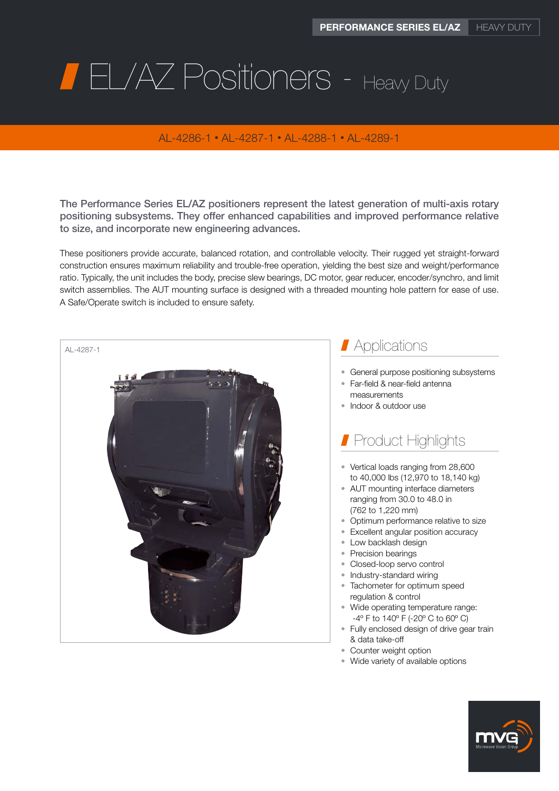# **FL/AZ Positioners - Heavy Duty**

### AL-4286-1 • AL-4287-1 • AL-4288-1 • AL-4289-1

The Performance Series EL/AZ positioners represent the latest generation of multi-axis rotary positioning subsystems. They offer enhanced capabilities and improved performance relative to size, and incorporate new engineering advances.

These positioners provide accurate, balanced rotation, and controllable velocity. Their rugged yet straight-forward construction ensures maximum reliability and trouble-free operation, yielding the best size and weight/performance ratio. Typically, the unit includes the body, precise slew bearings, DC motor, gear reducer, encoder/synchro, and limit switch assemblies. The AUT mounting surface is designed with a threaded mounting hole pattern for ease of use. A Safe/Operate switch is included to ensure safety.



- Counter weight option
- Wide variety of available options

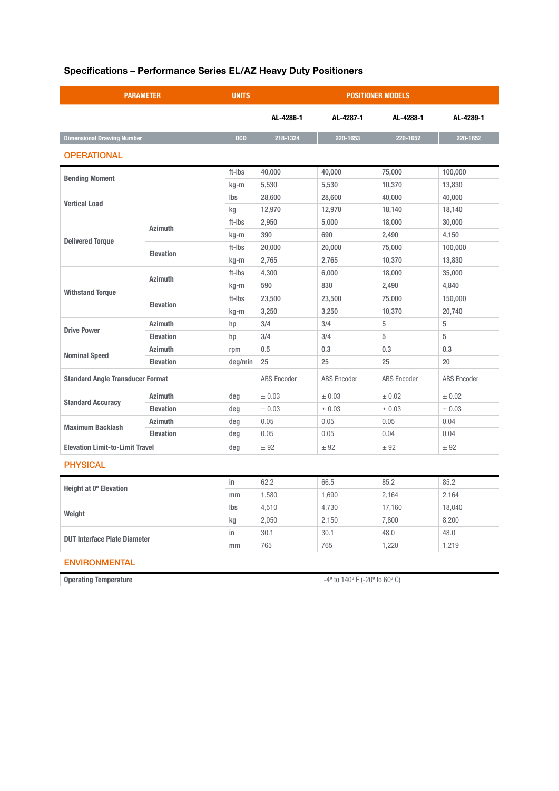## Specifications – Performance Series EL/AZ Heavy Duty Positioners

| <b>PARAMETER</b>                        |                  | <b>UNITS</b>       | <b>POSITIONER MODELS</b>                                  |                    |                    |           |  |  |  |
|-----------------------------------------|------------------|--------------------|-----------------------------------------------------------|--------------------|--------------------|-----------|--|--|--|
|                                         |                  |                    | AL-4286-1                                                 | AL-4287-1          | AL-4288-1          | AL-4289-1 |  |  |  |
| <b>Dimensional Drawing Number</b>       |                  | <b>DCD</b>         | 218-1324                                                  | 220-1653           | 220-1652           | 220-1652  |  |  |  |
| <b>OPERATIONAL</b>                      |                  |                    |                                                           |                    |                    |           |  |  |  |
| <b>Bending Moment</b>                   |                  | ft-Ibs             | 40,000                                                    | 40,000             | 75,000             | 100,000   |  |  |  |
|                                         |                  | kg-m               | 5,530                                                     | 5,530              | 10,370             | 13,830    |  |  |  |
| <b>Vertical Load</b>                    |                  | Ibs                | 28,600                                                    | 28,600             | 40,000             | 40,000    |  |  |  |
|                                         |                  | kg                 | 12,970                                                    | 12,970             | 18,140             | 18,140    |  |  |  |
| <b>Delivered Torque</b>                 | <b>Azimuth</b>   | ft-Ibs             | 2,950                                                     | 5,000              | 18,000             | 30,000    |  |  |  |
|                                         |                  | kg-m               | 390                                                       | 690                | 2,490              | 4,150     |  |  |  |
|                                         | <b>Elevation</b> | ft-Ibs             | 20,000                                                    | 20,000             | 75,000             | 100,000   |  |  |  |
|                                         |                  | kg-m               | 2,765                                                     | 2,765              | 10,370             | 13,830    |  |  |  |
| <b>Withstand Torque</b>                 | <b>Azimuth</b>   | ft-Ibs             | 4,300                                                     | 6,000              | 18,000             | 35,000    |  |  |  |
|                                         |                  | kg-m               | 590                                                       | 830                | 2,490              | 4,840     |  |  |  |
|                                         | <b>Elevation</b> | ft-Ibs             | 23,500                                                    | 23,500             | 75,000             | 150,000   |  |  |  |
|                                         |                  | kg-m               | 3,250                                                     | 3,250              | 10,370             | 20,740    |  |  |  |
| <b>Drive Power</b>                      | <b>Azimuth</b>   | hp                 | 3/4                                                       | 3/4                | 5                  | 5         |  |  |  |
|                                         | <b>Elevation</b> | hp                 | 3/4                                                       | 3/4                | 5                  | 5         |  |  |  |
| <b>Nominal Speed</b>                    | <b>Azimuth</b>   | rpm                | 0.5                                                       | 0.3                | 0.3                | 0.3       |  |  |  |
|                                         | <b>Elevation</b> | deg/min            | 25                                                        | 25                 | 25                 | 20        |  |  |  |
| <b>Standard Angle Transducer Format</b> |                  | <b>ABS</b> Encoder | <b>ABS</b> Encoder                                        | <b>ABS</b> Encoder | <b>ABS</b> Encoder |           |  |  |  |
| <b>Standard Accuracy</b>                | <b>Azimuth</b>   | deg                | ± 0.03                                                    | ± 0.03             | ± 0.02             | ± 0.02    |  |  |  |
|                                         | <b>Elevation</b> | deg                | ± 0.03                                                    | ± 0.03             | ± 0.03             | ± 0.03    |  |  |  |
| <b>Maximum Backlash</b>                 | <b>Azimuth</b>   | deg                | 0.05                                                      | 0.05               | 0.05               | 0.04      |  |  |  |
|                                         | <b>Elevation</b> | deg                | 0.05                                                      | 0.05               | 0.04               | 0.04      |  |  |  |
| <b>Elevation Limit-to-Limit Travel</b>  |                  | deg                | ± 92                                                      | ± 92               | ± 92               | ± 92      |  |  |  |
| <b>PHYSICAL</b>                         |                  |                    |                                                           |                    |                    |           |  |  |  |
| Height at 0° Elevation                  |                  | in                 | 62.2                                                      | 66.5               | 85.2               | 85.2      |  |  |  |
|                                         |                  | mm                 | 1,580                                                     | 1,690              | 2,164              | 2,164     |  |  |  |
| Weight                                  |                  | Ibs                | 4,510                                                     | 4,730              | 17,160             | 18,040    |  |  |  |
|                                         |                  | kg                 | 2,050                                                     | 2,150              | 7,800              | 8,200     |  |  |  |
| <b>DUT Interface Plate Diameter</b>     |                  | in                 | 30.1                                                      | 30.1               | 48.0               | 48.0      |  |  |  |
|                                         |                  | mm                 | 765                                                       | 765                | 1,220              | 1,219     |  |  |  |
| <b>ENVIRONMENTAL</b>                    |                  |                    |                                                           |                    |                    |           |  |  |  |
| <b>Operating Temperature</b>            |                  |                    | $-4^{\circ}$ to $140^{\circ}$ F ( $-20^{\circ}$ to 60° C) |                    |                    |           |  |  |  |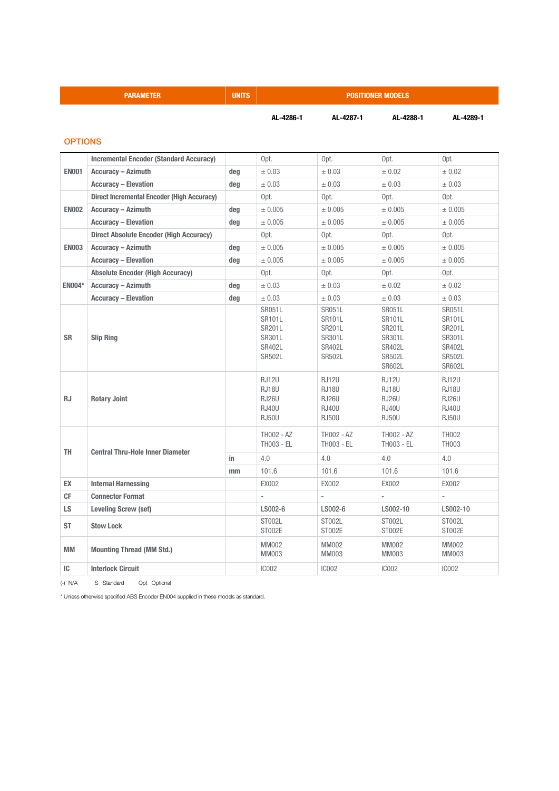| <b>PARAMETER</b> |                                                   | <b>UNITS</b> | <b>POSITIONER MODELS</b>                                                     |                                                                                      |                                                                                                              |                                                                                                       |  |
|------------------|---------------------------------------------------|--------------|------------------------------------------------------------------------------|--------------------------------------------------------------------------------------|--------------------------------------------------------------------------------------------------------------|-------------------------------------------------------------------------------------------------------|--|
|                  |                                                   |              | AL-4286-1                                                                    | AL-4287-1                                                                            | AL-4288-1                                                                                                    | AL-4289-1                                                                                             |  |
| <b>OPTIONS</b>   |                                                   |              |                                                                              |                                                                                      |                                                                                                              |                                                                                                       |  |
|                  | <b>Incremental Encoder (Standard Accuracy)</b>    |              | Opt.                                                                         | Opt.                                                                                 | Opt.                                                                                                         | Opt.                                                                                                  |  |
| <b>EN001</b>     | <b>Accuracy - Azimuth</b>                         | deg          | ± 0.03                                                                       | ± 0.03                                                                               | ± 0.02                                                                                                       | ± 0.02                                                                                                |  |
|                  | <b>Accuracy - Elevation</b>                       | deg          | ± 0.03                                                                       | ± 0.03                                                                               | ± 0.03                                                                                                       | ± 0.03                                                                                                |  |
| <b>EN002</b>     | <b>Direct Incremental Encoder (High Accuracy)</b> |              | Opt.                                                                         | Opt.                                                                                 | Opt.                                                                                                         | Opt.                                                                                                  |  |
|                  | <b>Accuracy - Azimuth</b>                         | deg          | ± 0.005                                                                      | ± 0.005                                                                              | ± 0.005                                                                                                      | ± 0.005                                                                                               |  |
|                  | <b>Accuracy - Elevation</b>                       | deg          | ± 0.005                                                                      | ± 0.005                                                                              | ± 0.005                                                                                                      | ± 0.005                                                                                               |  |
|                  | <b>Direct Absolute Encoder (High Accuracy)</b>    |              | Opt.                                                                         | Opt.                                                                                 | Opt.                                                                                                         | Opt.                                                                                                  |  |
| <b>EN003</b>     | <b>Accuracy - Azimuth</b>                         | deg          | ± 0.005                                                                      | ± 0.005                                                                              | ± 0.005                                                                                                      | ± 0.005                                                                                               |  |
|                  | <b>Accuracy - Elevation</b>                       | deg          | ± 0.005                                                                      | ± 0.005                                                                              | ± 0.005                                                                                                      | ± 0.005                                                                                               |  |
|                  | <b>Absolute Encoder (High Accuracy)</b>           |              | Opt.                                                                         | Opt.                                                                                 | Opt.                                                                                                         | Opt.                                                                                                  |  |
| <b>EN004*</b>    | <b>Accuracy - Azimuth</b>                         | deg          | ± 0.03                                                                       | ± 0.03                                                                               | ± 0.02                                                                                                       | ± 0.02                                                                                                |  |
|                  | <b>Accuracy - Elevation</b>                       | deg          | ± 0.03                                                                       | ± 0.03                                                                               | ± 0.03                                                                                                       | ± 0.03                                                                                                |  |
| <b>SR</b>        | <b>Slip Ring</b>                                  |              | <b>SR051L</b><br>SR101L<br>SR201L<br>SR301L<br>SR402L<br><b>SR502L</b>       | <b>SR051L</b><br>SR101L<br><b>SR201L</b><br>SR301L<br><b>SR402L</b><br><b>SR502L</b> | <b>SR051L</b><br><b>SR101L</b><br><b>SR201L</b><br>SR301L<br><b>SR402L</b><br><b>SR502L</b><br><b>SR602L</b> | <b>SR051L</b><br>SR101L<br><b>SR201L</b><br>SR301L<br><b>SR402L</b><br><b>SR502L</b><br><b>SR602L</b> |  |
| <b>RJ</b>        | <b>Rotary Joint</b>                               |              | <b>RJ12U</b><br><b>RJ18U</b><br><b>RJ26U</b><br><b>RJ40U</b><br><b>RJ50U</b> | <b>RJ12U</b><br><b>RJ18U</b><br><b>RJ26U</b><br><b>RJ40U</b><br><b>RJ50U</b>         | <b>RJ12U</b><br>RJ18U<br><b>RJ26U</b><br><b>RJ40U</b><br><b>RJ50U</b>                                        | <b>RJ12U</b><br><b>RJ18U</b><br><b>RJ26U</b><br><b>RJ40U</b><br><b>RJ50U</b>                          |  |
| <b>TH</b>        | <b>Central Thru-Hole Inner Diameter</b>           |              | <b>TH002 - AZ</b><br>TH003 - EL                                              | TH002 - AZ<br>TH003 - EL                                                             | <b>TH002 - AZ</b><br>TH003 - EL                                                                              | <b>TH002</b><br>TH003                                                                                 |  |
|                  |                                                   | in.          | 4.0                                                                          | 4.0                                                                                  | 4.0                                                                                                          | 4.0                                                                                                   |  |
|                  |                                                   | mm           | 101.6                                                                        | 101.6                                                                                | 101.6                                                                                                        | 101.6                                                                                                 |  |
| <b>EX</b>        | <b>Internal Harnessing</b>                        |              | <b>EX002</b>                                                                 | <b>EX002</b>                                                                         | <b>EX002</b>                                                                                                 | EX002                                                                                                 |  |
| <b>CF</b>        | <b>Connector Format</b>                           |              | ÷,                                                                           |                                                                                      | ÷                                                                                                            | $\overline{a}$                                                                                        |  |
| LS.              | <b>Leveling Screw (set)</b>                       |              | LS002-6                                                                      | LS002-6                                                                              | LS002-10                                                                                                     | LS002-10                                                                                              |  |
| ST               | <b>Stow Lock</b>                                  |              | ST002L<br>ST002E                                                             | ST002L<br>ST002E                                                                     | ST002L<br>ST002E                                                                                             | ST002L<br>ST002E                                                                                      |  |
| MM               | <b>Mounting Thread (MM Std.)</b>                  |              | MM002<br>MM003                                                               | MM002<br>MM003                                                                       | <b>MM002</b><br>MM003                                                                                        | MM002<br><b>MM003</b>                                                                                 |  |
| IC               | <b>Interlock Circuit</b>                          |              | IC002                                                                        | <b>IC002</b>                                                                         | IC002                                                                                                        | IC002                                                                                                 |  |

(-) N/A S Standard Opt Optional

\* Unless otherwise specified ABS Encoder EN004 supplied in these models as standard.